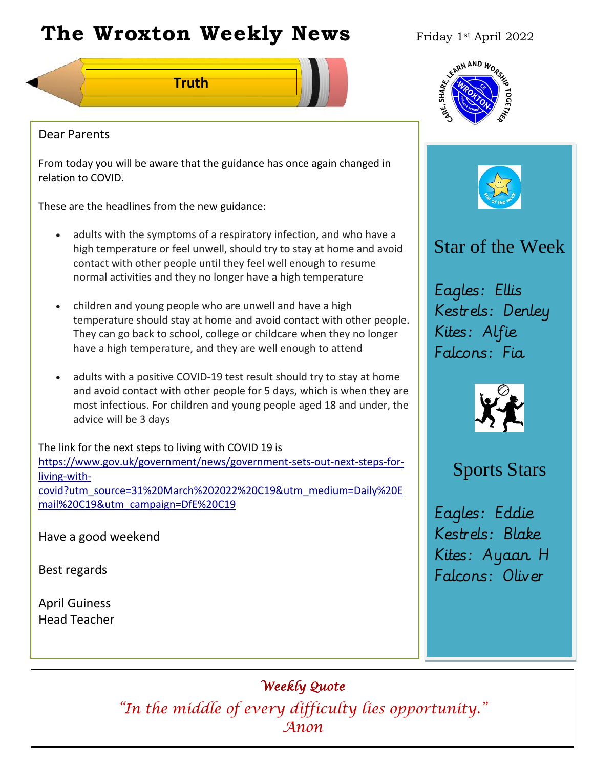# **The Wroxton Weekly News** Friday 1st April 2022

**Truth**





#### Dear Parents

From today you will be aware that the guidance has once again changed in relation to COVID.

These are the headlines from the new guidance:

- adults with the symptoms of a respiratory infection, and who have a high temperature or feel unwell, should try to stay at home and avoid contact with other people until they feel well enough to resume normal activities and they no longer have a high temperature
- children and young people who are unwell and have a high temperature should stay at home and avoid contact with other people. They can go back to school, college or childcare when they no longer have a high temperature, and they are well enough to attend
- adults with a positive COVID-19 test result should try to stay at home and avoid contact with other people for 5 days, which is when they are most infectious. For children and young people aged 18 and under, the advice will be 3 days

The link for the next steps to living with COVID 19 is [https://www.gov.uk/government/news/government-sets-out-next-steps-for](https://www.gov.uk/government/news/government-sets-out-next-steps-for-living-with-covid?utm_source=31%20March%202022%20C19&utm_medium=Daily%20Email%20C19&utm_campaign=DfE%20C19)[living-with](https://www.gov.uk/government/news/government-sets-out-next-steps-for-living-with-covid?utm_source=31%20March%202022%20C19&utm_medium=Daily%20Email%20C19&utm_campaign=DfE%20C19)[covid?utm\\_source=31%20March%202022%20C19&utm\\_medium=Daily%20E](https://www.gov.uk/government/news/government-sets-out-next-steps-for-living-with-covid?utm_source=31%20March%202022%20C19&utm_medium=Daily%20Email%20C19&utm_campaign=DfE%20C19) [mail%20C19&utm\\_campaign=DfE%20C19](https://www.gov.uk/government/news/government-sets-out-next-steps-for-living-with-covid?utm_source=31%20March%202022%20C19&utm_medium=Daily%20Email%20C19&utm_campaign=DfE%20C19)

Have a good weekend

Best regards

April Guiness Head Teacher

# Star of the Week

Eagles: Ellis Kestrels: Denley Kites: Alfie Falcons: Fia



# Sports Stars

Eagles: Eddie Kestrels: Blake Kites: Ayaan H Falcons: Oliver

*Weekly Quote* 

**Fall Festival Nov 4** *Anon* **Teacher Day PTA New Year** *"In the middle of every difficulty lies opportunity."*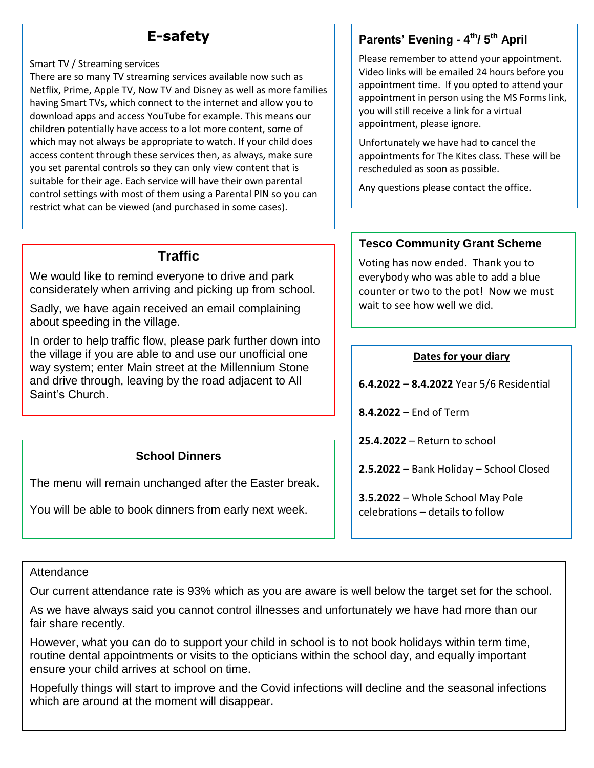## **E-safety**

#### Smart TV / Streaming services

 There are so many TV streaming services available now such as Netflix, Prime, Apple TV, Now TV and Disney as well as more families having Smart TVs, which connect to the internet and allow you to download apps and access YouTube for example. This means our children potentially have access to a lot more content, some of which may not always be appropriate to watch. If your child does access content through these services then, as always, make sure you set parental controls so they can only view content that is suitable for their age. Each service will have their own parental control settings with most of them using a Parental PIN so you can restrict what can be viewed (and purchased in some cases).

## **Traffic**

We would like to remind everyone to drive and park considerately when arriving and picking up from school.

Sadly, we have again received an email complaining about speeding in the village.

In order to help traffic flow, please park further down into the village if you are able to and use our unofficial one way system; enter Main street at the Millennium Stone and drive through, leaving by the road adjacent to All Saint's Church.

## **School Dinners**

The menu will remain unchanged after the Easter break.

You will be able to book dinners from early next week.

# **Parents' Evening - 4 th/ 5 th April**

Please remember to attend your appointment. Video links will be emailed 24 hours before you appointment time. If you opted to attend your appointment in person using the MS Forms link, you will still receive a link for a virtual appointment, please ignore.

Unfortunately we have had to cancel the appointments for The Kites class. These will be rescheduled as soon as possible.

Any questions please contact the office.

## **Tesco Community Grant Scheme**

Voting has now ended. Thank you to everybody who was able to add a blue counter or two to the pot! Now we must wait to see how well we did.

#### **Dates for your diary**

**6.4.2022 – 8.4.2022** Year 5/6 Residential

**8.4.2022** – End of Term

**25.4.2022** – Return to school

**2.5.2022** – Bank Holiday – School Closed

**3.5.2022** – Whole School May Pole celebrations – details to follow

#### **Attendance**

Our current attendance rate is 93% which as you are aware is well below the target set for the school.

As we have always said you cannot control illnesses and unfortunately we have had more than our fair share recently.

However, what you can do to support your child in school is to not book holidays within term time, routine dental appointments or visits to the opticians within the school day, and equally important ensure your child arrives at school on time.

Hopefully things will start to improve and the Covid infections will decline and the seasonal infections which are around at the moment will disappear.